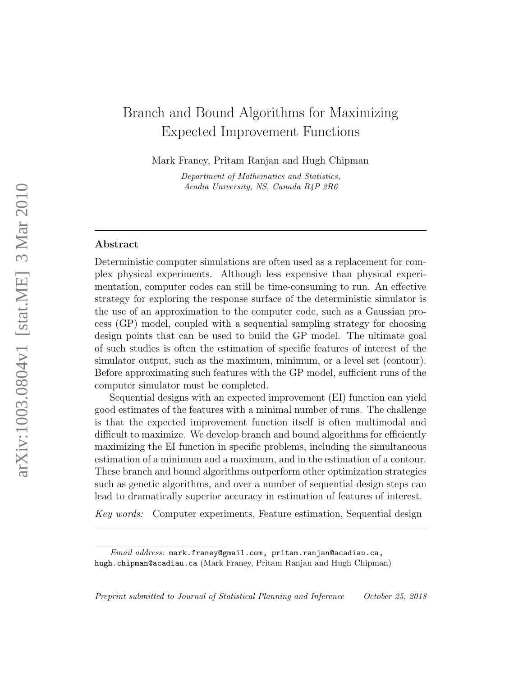# Branch and Bound Algorithms for Maximizing Expected Improvement Functions

Mark Franey, Pritam Ranjan and Hugh Chipman

Department of Mathematics and Statistics, Acadia University, NS, Canada B4P 2R6

## Abstract

Deterministic computer simulations are often used as a replacement for complex physical experiments. Although less expensive than physical experimentation, computer codes can still be time-consuming to run. An effective strategy for exploring the response surface of the deterministic simulator is the use of an approximation to the computer code, such as a Gaussian process (GP) model, coupled with a sequential sampling strategy for choosing design points that can be used to build the GP model. The ultimate goal of such studies is often the estimation of specific features of interest of the simulator output, such as the maximum, minimum, or a level set (contour). Before approximating such features with the GP model, sufficient runs of the computer simulator must be completed.

Sequential designs with an expected improvement (EI) function can yield good estimates of the features with a minimal number of runs. The challenge is that the expected improvement function itself is often multimodal and difficult to maximize. We develop branch and bound algorithms for efficiently maximizing the EI function in specific problems, including the simultaneous estimation of a minimum and a maximum, and in the estimation of a contour. These branch and bound algorithms outperform other optimization strategies such as genetic algorithms, and over a number of sequential design steps can lead to dramatically superior accuracy in estimation of features of interest.

*Key words:* Computer experiments, Feature estimation, Sequential design

Email address: mark.franey@gmail.com, pritam.ranjan@acadiau.ca, hugh.chipman@acadiau.ca (Mark Franey, Pritam Ranjan and Hugh Chipman)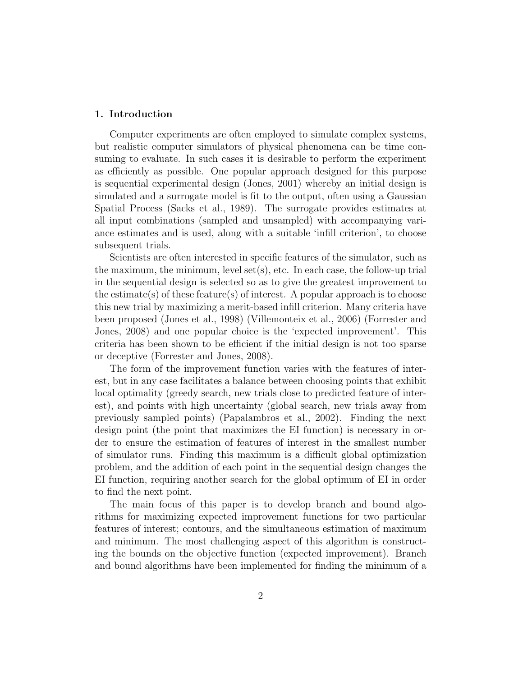## 1. Introduction

Computer experiments are often employed to simulate complex systems, but realistic computer simulators of physical phenomena can be time consuming to evaluate. In such cases it is desirable to perform the experiment as efficiently as possible. One popular approach designed for this purpose is sequential experimental design (Jones, 2001) whereby an initial design is simulated and a surrogate model is fit to the output, often using a Gaussian Spatial Process (Sacks et al., 1989). The surrogate provides estimates at all input combinations (sampled and unsampled) with accompanying variance estimates and is used, along with a suitable 'infill criterion', to choose subsequent trials.

Scientists are often interested in specific features of the simulator, such as the maximum, the minimum, level set(s), etc. In each case, the follow-up trial in the sequential design is selected so as to give the greatest improvement to the estimate(s) of these feature(s) of interest. A popular approach is to choose this new trial by maximizing a merit-based infill criterion. Many criteria have been proposed (Jones et al., 1998) (Villemonteix et al., 2006) (Forrester and Jones, 2008) and one popular choice is the 'expected improvement'. This criteria has been shown to be efficient if the initial design is not too sparse or deceptive (Forrester and Jones, 2008).

The form of the improvement function varies with the features of interest, but in any case facilitates a balance between choosing points that exhibit local optimality (greedy search, new trials close to predicted feature of interest), and points with high uncertainty (global search, new trials away from previously sampled points) (Papalambros et al., 2002). Finding the next design point (the point that maximizes the EI function) is necessary in order to ensure the estimation of features of interest in the smallest number of simulator runs. Finding this maximum is a difficult global optimization problem, and the addition of each point in the sequential design changes the EI function, requiring another search for the global optimum of EI in order to find the next point.

The main focus of this paper is to develop branch and bound algorithms for maximizing expected improvement functions for two particular features of interest; contours, and the simultaneous estimation of maximum and minimum. The most challenging aspect of this algorithm is constructing the bounds on the objective function (expected improvement). Branch and bound algorithms have been implemented for finding the minimum of a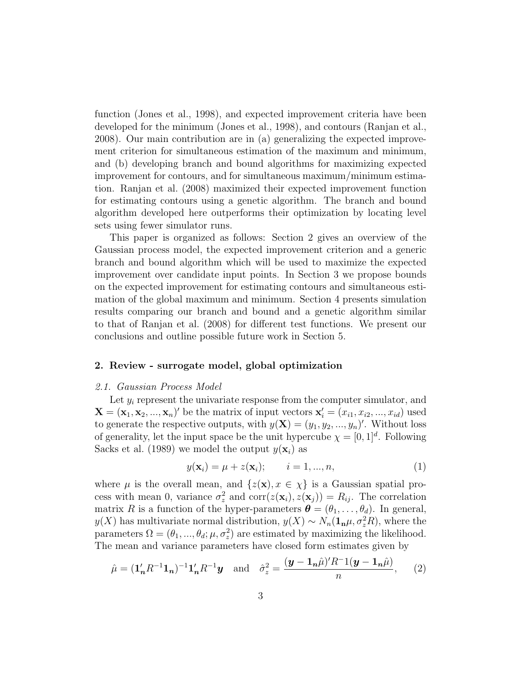function (Jones et al., 1998), and expected improvement criteria have been developed for the minimum (Jones et al., 1998), and contours (Ranjan et al., 2008). Our main contribution are in (a) generalizing the expected improvement criterion for simultaneous estimation of the maximum and minimum, and (b) developing branch and bound algorithms for maximizing expected improvement for contours, and for simultaneous maximum/minimum estimation. Ranjan et al. (2008) maximized their expected improvement function for estimating contours using a genetic algorithm. The branch and bound algorithm developed here outperforms their optimization by locating level sets using fewer simulator runs.

This paper is organized as follows: Section 2 gives an overview of the Gaussian process model, the expected improvement criterion and a generic branch and bound algorithm which will be used to maximize the expected improvement over candidate input points. In Section 3 we propose bounds on the expected improvement for estimating contours and simultaneous estimation of the global maximum and minimum. Section 4 presents simulation results comparing our branch and bound and a genetic algorithm similar to that of Ranjan et al. (2008) for different test functions. We present our conclusions and outline possible future work in Section 5.

## 2. Review - surrogate model, global optimization

#### *2.1. Gaussian Process Model*

Let  $y_i$  represent the univariate response from the computer simulator, and  ${\bf X} = ({\bf x}_1, {\bf x}_2, ..., {\bf x}_n)'$  be the matrix of input vectors  ${\bf x}'_i = (x_{i1}, x_{i2}, ..., x_{id})$  used to generate the respective outputs, with  $y(\mathbf{X}) = (y_1, y_2, ..., y_n)'$ . Without loss of generality, let the input space be the unit hypercube  $\chi = [0, 1]^d$ . Following Sacks et al. (1989) we model the output  $y(\mathbf{x}_i)$  as

$$
y(\mathbf{x}_i) = \mu + z(\mathbf{x}_i); \qquad i = 1, ..., n,
$$
 (1)

where  $\mu$  is the overall mean, and  $\{z(\mathbf{x}), x \in \chi\}$  is a Gaussian spatial process with mean 0, variance  $\sigma_z^2$  and  $\text{corr}(z(\mathbf{x}_i), z(\mathbf{x}_j)) = R_{ij}$ . The correlation matrix R is a function of the hyper-parameters  $\boldsymbol{\theta} = (\theta_1, \dots, \theta_d)$ . In general,  $y(X)$  has multivariate normal distribution,  $y(X) \sim N_n(1_n\mu, \sigma_z^2 R)$ , where the parameters  $\Omega = (\theta_1, ..., \theta_d; \mu, \sigma_z^2)$  are estimated by maximizing the likelihood. The mean and variance parameters have closed form estimates given by

$$
\hat{\mu} = (\mathbf{1}'_n R^{-1} \mathbf{1}_n)^{-1} \mathbf{1}'_n R^{-1} \mathbf{y} \quad \text{and} \quad \hat{\sigma}_z^2 = \frac{(\mathbf{y} - \mathbf{1}_n \hat{\mu})' R^{-1} (\mathbf{y} - \mathbf{1}_n \hat{\mu})}{n}, \qquad (2)
$$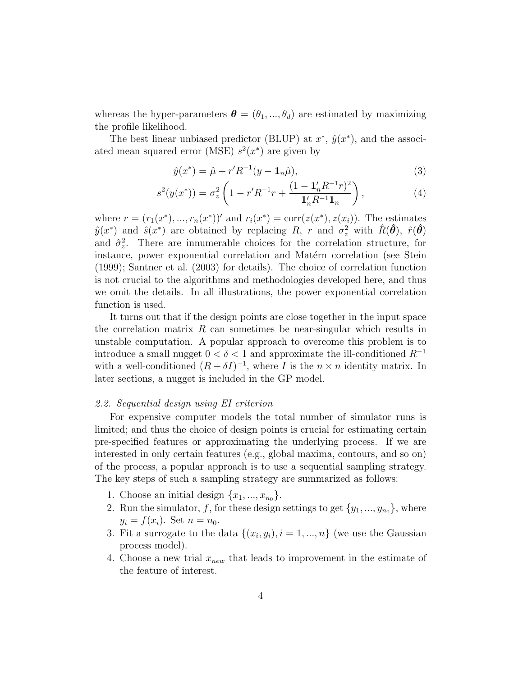whereas the hyper-parameters  $\boldsymbol{\theta} = (\theta_1, ..., \theta_d)$  are estimated by maximizing the profile likelihood.

The best linear unbiased predictor (BLUP) at  $x^*$ ,  $\hat{y}(x^*)$ , and the associated mean squared error (MSE)  $s^2(x^*)$  are given by

$$
\hat{y}(x^*) = \hat{\mu} + r'R^{-1}(y - \mathbf{1}_n\hat{\mu}),\tag{3}
$$

$$
s^{2}(y(x^{*})) = \sigma_{z}^{2} \left( 1 - r' R^{-1} r + \frac{(1 - \mathbf{1}_{n}' R^{-1} r)^{2}}{\mathbf{1}_{n}' R^{-1} \mathbf{1}_{n}} \right), \tag{4}
$$

where  $r = (r_1(x^*), ..., r_n(x^*))'$  and  $r_i(x^*) = \text{corr}(z(x^*), z(x_i))$ . The estimates  $\hat{y}(x^*)$  and  $\hat{s}(x^*)$  are obtained by replacing R, r and  $\sigma_z^2$  with  $\hat{R}(\hat{\theta})$ ,  $\hat{r}(\hat{\theta})$ and  $\hat{\sigma}_z^2$ . There are innumerable choices for the correlation structure, for instance, power exponential correlation and Matérn correlation (see Stein (1999); Santner et al. (2003) for details). The choice of correlation function is not crucial to the algorithms and methodologies developed here, and thus we omit the details. In all illustrations, the power exponential correlation function is used.

It turns out that if the design points are close together in the input space the correlation matrix  $R$  can sometimes be near-singular which results in unstable computation. A popular approach to overcome this problem is to introduce a small nugget  $0 < \delta < 1$  and approximate the ill-conditioned  $R^{-1}$ with a well-conditioned  $(R + \delta I)^{-1}$ , where I is the  $n \times n$  identity matrix. In later sections, a nugget is included in the GP model.

### *2.2. Sequential design using EI criterion*

For expensive computer models the total number of simulator runs is limited; and thus the choice of design points is crucial for estimating certain pre-specified features or approximating the underlying process. If we are interested in only certain features (e.g., global maxima, contours, and so on) of the process, a popular approach is to use a sequential sampling strategy. The key steps of such a sampling strategy are summarized as follows:

- 1. Choose an initial design  $\{x_1, \ldots, x_{n_0}\}.$
- 2. Run the simulator, f, for these design settings to get  $\{y_1, \ldots, y_{n_0}\}$ , where  $y_i = f(x_i)$ . Set  $n = n_0$ .
- 3. Fit a surrogate to the data  $\{(x_i, y_i), i = 1, ..., n\}$  (we use the Gaussian process model).
- 4. Choose a new trial  $x_{new}$  that leads to improvement in the estimate of the feature of interest.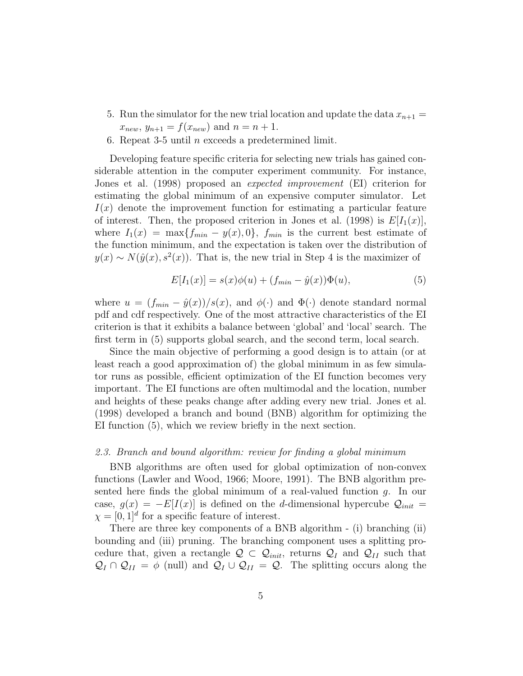- 5. Run the simulator for the new trial location and update the data  $x_{n+1} =$  $x_{new}, y_{n+1} = f(x_{new})$  and  $n = n + 1$ .
- 6. Repeat 3-5 until  $n$  exceeds a predetermined limit.

Developing feature specific criteria for selecting new trials has gained considerable attention in the computer experiment community. For instance, Jones et al. (1998) proposed an *expected improvement* (EI) criterion for estimating the global minimum of an expensive computer simulator. Let  $I(x)$  denote the improvement function for estimating a particular feature of interest. Then, the proposed criterion in Jones et al. (1998) is  $E[I_1(x)]$ , where  $I_1(x) = \max\{f_{min} - y(x), 0\}$ ,  $f_{min}$  is the current best estimate of the function minimum, and the expectation is taken over the distribution of  $y(x) \sim N(\hat{y}(x), s^2(x))$ . That is, the new trial in Step 4 is the maximizer of

$$
E[I_1(x)] = s(x)\phi(u) + (f_{min} - \hat{y}(x))\Phi(u),
$$
\n(5)

where  $u = (f_{min} - \hat{y}(x))/s(x)$ , and  $\phi(\cdot)$  and  $\Phi(\cdot)$  denote standard normal pdf and cdf respectively. One of the most attractive characteristics of the EI criterion is that it exhibits a balance between 'global' and 'local' search. The first term in (5) supports global search, and the second term, local search.

Since the main objective of performing a good design is to attain (or at least reach a good approximation of) the global minimum in as few simulator runs as possible, efficient optimization of the EI function becomes very important. The EI functions are often multimodal and the location, number and heights of these peaks change after adding every new trial. Jones et al. (1998) developed a branch and bound (BNB) algorithm for optimizing the EI function (5), which we review briefly in the next section.

## *2.3. Branch and bound algorithm: review for finding a global minimum*

BNB algorithms are often used for global optimization of non-convex functions (Lawler and Wood, 1966; Moore, 1991). The BNB algorithm presented here finds the global minimum of a real-valued function  $g$ . In our case,  $g(x) = -E[I(x)]$  is defined on the d-dimensional hypercube  $\mathcal{Q}_{init}$  $\chi = [0, 1]^d$  for a specific feature of interest.

There are three key components of a BNB algorithm - (i) branching (ii) bounding and (iii) pruning. The branching component uses a splitting procedure that, given a rectangle  $\mathcal{Q} \subset \mathcal{Q}_{init}$ , returns  $\mathcal{Q}_I$  and  $\mathcal{Q}_{II}$  such that  $\mathcal{Q}_I \cap \mathcal{Q}_{II} = \phi$  (null) and  $\mathcal{Q}_I \cup \mathcal{Q}_{II} = \mathcal{Q}$ . The splitting occurs along the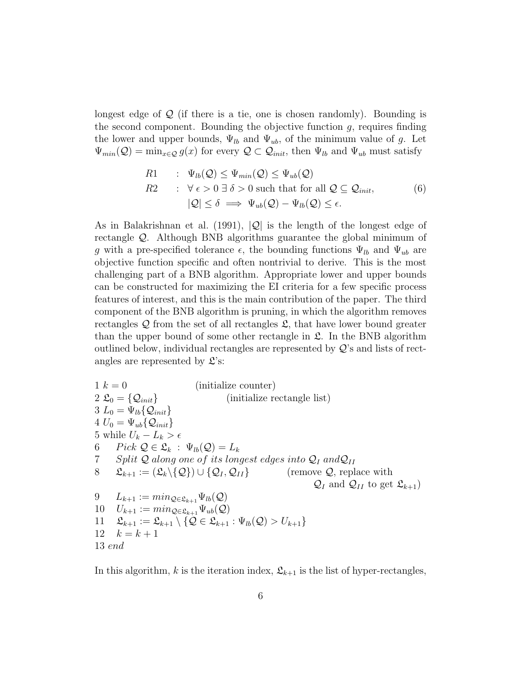longest edge of  $Q$  (if there is a tie, one is chosen randomly). Bounding is the second component. Bounding the objective function  $g$ , requires finding the lower and upper bounds,  $\Psi_{lb}$  and  $\Psi_{ub}$ , of the minimum value of g. Let  $\Psi_{min}(\mathcal{Q}) = \min_{x \in \mathcal{Q}} g(x)$  for every  $\mathcal{Q} \subset \mathcal{Q}_{init}$ , then  $\Psi_{lb}$  and  $\Psi_{ub}$  must satisfy

$$
R1: \Psi_{lb}(\mathcal{Q}) \le \Psi_{min}(\mathcal{Q}) \le \Psi_{ub}(\mathcal{Q})
$$
  
\n
$$
R2: \forall \epsilon > 0 \,\exists \,\delta > 0 \text{ such that for all } \mathcal{Q} \subseteq \mathcal{Q}_{init},
$$
  
\n
$$
|\mathcal{Q}| \le \delta \implies \Psi_{ub}(\mathcal{Q}) - \Psi_{lb}(\mathcal{Q}) \le \epsilon.
$$
\n(6)

As in Balakrishnan et al. (1991),  $|Q|$  is the length of the longest edge of rectangle Q. Although BNB algorithms guarantee the global minimum of g with a pre-specified tolerance  $\epsilon$ , the bounding functions  $\Psi_{lb}$  and  $\Psi_{ub}$  are objective function specific and often nontrivial to derive. This is the most challenging part of a BNB algorithm. Appropriate lower and upper bounds can be constructed for maximizing the EI criteria for a few specific process features of interest, and this is the main contribution of the paper. The third component of the BNB algorithm is pruning, in which the algorithm removes rectangles  $\mathcal Q$  from the set of all rectangles  $\mathcal L$ , that have lower bound greater than the upper bound of some other rectangle in  $\mathfrak{L}$ . In the BNB algorithm outlined below, individual rectangles are represented by  $\mathcal{Q}'$ 's and lists of rectangles are represented by  $\mathfrak{L}$ 's:

1 
$$
k = 0
$$
 (initialize counter)  
\n2  $\mathfrak{L}_0 = {\mathcal{Q}_{init}}$  (initialize rectangle list)  
\n3  $L_0 = \Psi_{lb}{\mathcal{Q}_{init}}$   
\n4  $U_0 = \Psi_{ub}{\mathcal{Q}_{init}}$   
\n5 while  $U_k - L_k > \epsilon$   
\n6 *Pick*  $\mathcal{Q} \in \mathfrak{L}_k : \Psi_{lb}(\mathcal{Q}) = L_k$   
\n7 *Split*  $\mathcal{Q}$  *along one of its longest edges into*  $\mathcal{Q}_I$  *and*  $\mathcal{Q}_{II}$   
\n8  $\mathfrak{L}_{k+1} := (\mathfrak{L}_k \setminus \{\mathcal{Q}\}) \cup \{\mathcal{Q}_I, \mathcal{Q}_{II}\}$  (remove  $\mathcal{Q}$ , replace with  
\n $Q_I$  and  $\mathcal{Q}_{II}$  to get  $\mathfrak{L}_{k+1}$ )  
\n9  $L_{k+1} := min_{\mathcal{Q} \in \mathfrak{L}_{k+1}} \Psi_{ub}(\mathcal{Q})$   
\n10  $U_{k+1} := min_{\mathcal{Q} \in \mathfrak{L}_{k+1}} \Psi_{ub}(\mathcal{Q})$   
\n11  $\mathfrak{L}_{k+1} := \mathfrak{L}_{k+1} \setminus \{\mathcal{Q} \in \mathfrak{L}_{k+1} : \Psi_{lb}(\mathcal{Q}) > U_{k+1}\}$   
\n12  $k = k + 1$   
\n13 *end*

In this algorithm, k is the iteration index,  $\mathfrak{L}_{k+1}$  is the list of hyper-rectangles,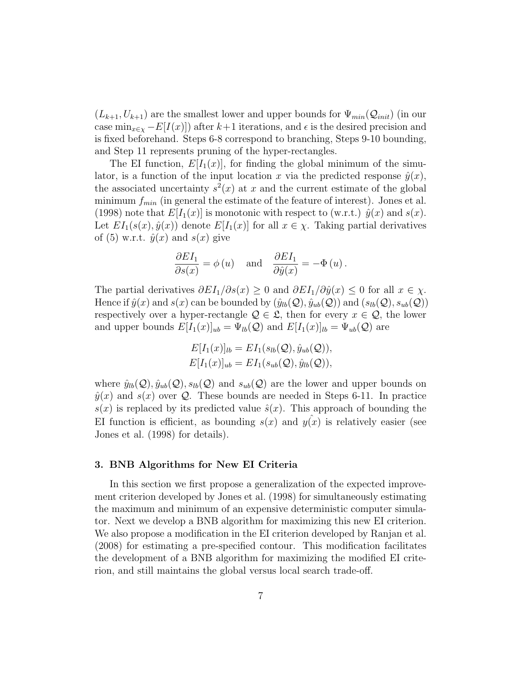$(L_{k+1}, U_{k+1})$  are the smallest lower and upper bounds for  $\Psi_{min}(\mathcal{Q}_{init})$  (in our case min<sub> $x \in \mathcal{E}[I(x)]$ </sub>) after k+1 iterations, and  $\epsilon$  is the desired precision and is fixed beforehand. Steps 6-8 correspond to branching, Steps 9-10 bounding, and Step 11 represents pruning of the hyper-rectangles.

The EI function,  $E[I_1(x)]$ , for finding the global minimum of the simulator, is a function of the input location x via the predicted response  $\hat{y}(x)$ , the associated uncertainty  $s^2(x)$  at x and the current estimate of the global minimum  $f_{min}$  (in general the estimate of the feature of interest). Jones et al. (1998) note that  $E[I_1(x)]$  is monotonic with respect to (w.r.t.)  $\hat{y}(x)$  and  $s(x)$ . Let  $EI_1(s(x), \hat{y}(x))$  denote  $E[I_1(x)]$  for all  $x \in \chi$ . Taking partial derivatives of (5) w.r.t.  $\hat{y}(x)$  and  $s(x)$  give

$$
\frac{\partial EI_1}{\partial s(x)} = \phi(u) \quad \text{and} \quad \frac{\partial EI_1}{\partial \hat{y}(x)} = -\Phi(u) .
$$

The partial derivatives  $\partial EI_1/\partial s(x) \geq 0$  and  $\partial EI_1/\partial \hat{y}(x) \leq 0$  for all  $x \in \chi$ . Hence if  $\hat{y}(x)$  and  $s(x)$  can be bounded by  $(\hat{y}_{lb}(Q), \hat{y}_{ub}(Q))$  and  $(s_{lb}(Q), s_{ub}(Q))$ respectively over a hyper-rectangle  $\mathcal{Q} \in \mathcal{L}$ , then for every  $x \in \mathcal{Q}$ , the lower and upper bounds  $E[I_1(x)]_{ub} = \Psi_{lb}(Q)$  and  $E[I_1(x)]_{lb} = \Psi_{ub}(Q)$  are

$$
E[I_1(x)]_{lb} = EI_1(s_{lb}(Q), \hat{y}_{ub}(Q)),
$$
  

$$
E[I_1(x)]_{ub} = EI_1(s_{ub}(Q), \hat{y}_{lb}(Q)),
$$

where  $\hat{y}_{lb}(\mathcal{Q}), \hat{y}_{ub}(\mathcal{Q}), s_{lb}(\mathcal{Q})$  and  $s_{ub}(\mathcal{Q})$  are the lower and upper bounds on  $\hat{y}(x)$  and  $s(x)$  over Q. These bounds are needed in Steps 6-11. In practice  $s(x)$  is replaced by its predicted value  $\hat{s}(x)$ . This approach of bounding the EI function is efficient, as bounding  $s(x)$  and  $y(x)$  is relatively easier (see Jones et al. (1998) for details).

## 3. BNB Algorithms for New EI Criteria

In this section we first propose a generalization of the expected improvement criterion developed by Jones et al. (1998) for simultaneously estimating the maximum and minimum of an expensive deterministic computer simulator. Next we develop a BNB algorithm for maximizing this new EI criterion. We also propose a modification in the EI criterion developed by Ranjan et al. (2008) for estimating a pre-specified contour. This modification facilitates the development of a BNB algorithm for maximizing the modified EI criterion, and still maintains the global versus local search trade-off.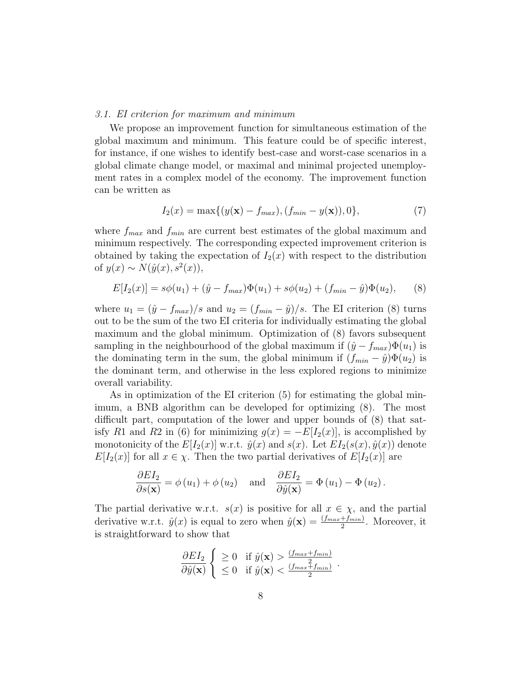#### *3.1. EI criterion for maximum and minimum*

We propose an improvement function for simultaneous estimation of the global maximum and minimum. This feature could be of specific interest, for instance, if one wishes to identify best-case and worst-case scenarios in a global climate change model, or maximal and minimal projected unemployment rates in a complex model of the economy. The improvement function can be written as

$$
I_2(x) = \max\{(y(\mathbf{x}) - f_{max}), (f_{min} - y(\mathbf{x})), 0\},\tag{7}
$$

where  $f_{max}$  and  $f_{min}$  are current best estimates of the global maximum and minimum respectively. The corresponding expected improvement criterion is obtained by taking the expectation of  $I_2(x)$  with respect to the distribution of  $y(x) \sim N(\hat{y}(x), s^2(x)),$ 

$$
E[I_2(x)] = s\phi(u_1) + (\hat{y} - f_{max})\Phi(u_1) + s\phi(u_2) + (f_{min} - \hat{y})\Phi(u_2),
$$
 (8)

where  $u_1 = (\hat{y} - f_{max})/s$  and  $u_2 = (f_{min} - \hat{y})/s$ . The EI criterion (8) turns out to be the sum of the two EI criteria for individually estimating the global maximum and the global minimum. Optimization of (8) favors subsequent sampling in the neighbourhood of the global maximum if  $(\hat{y} - f_{max})\Phi(u_1)$  is the dominating term in the sum, the global minimum if  $(f_{min} - \hat{y})\Phi(u_2)$  is the dominant term, and otherwise in the less explored regions to minimize overall variability.

As in optimization of the EI criterion (5) for estimating the global minimum, a BNB algorithm can be developed for optimizing (8). The most difficult part, computation of the lower and upper bounds of (8) that satisfy R1 and R2 in (6) for minimizing  $g(x) = -E[I_2(x)]$ , is accomplished by monotonicity of the  $E[I_2(x)]$  w.r.t.  $\hat{y}(x)$  and  $s(x)$ . Let  $EI_2(s(x), \hat{y}(x))$  denote  $E[I_2(x)]$  for all  $x \in \chi$ . Then the two partial derivatives of  $E[I_2(x)]$  are

$$
\frac{\partial EI_2}{\partial s(\mathbf{x})} = \phi(u_1) + \phi(u_2) \quad \text{and} \quad \frac{\partial EI_2}{\partial \hat{y}(\mathbf{x})} = \Phi(u_1) - \Phi(u_2).
$$

The partial derivative w.r.t.  $s(x)$  is positive for all  $x \in \chi$ , and the partial derivative w.r.t.  $\hat{y}(x)$  is equal to zero when  $\hat{y}(\mathbf{x}) = \frac{(f_{max} + f_{min})}{2}$ . Moreover, it is straightforward to show that

$$
\frac{\partial EI_2}{\partial \hat{y}(\mathbf{x})} \begin{cases} \geq 0 & \text{if } \hat{y}(\mathbf{x}) > \frac{(f_{max} + f_{min})}{2} \\ \leq 0 & \text{if } \hat{y}(\mathbf{x}) < \frac{(f_{max} + f_{min})}{2} \end{cases}
$$

.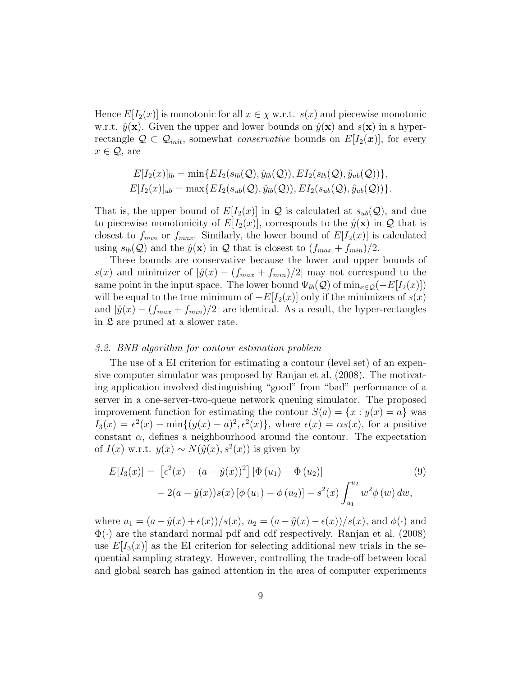Hence  $E[I_2(x)]$  is monotonic for all  $x \in \chi$  w.r.t.  $s(x)$  and piecewise monotonic w.r.t.  $\hat{y}(\mathbf{x})$ . Given the upper and lower bounds on  $\hat{y}(\mathbf{x})$  and  $s(\mathbf{x})$  in a hyperrectangle  $\mathcal{Q} \subset \mathcal{Q}_{init}$ , somewhat *conservative* bounds on  $E[I_2(\bm{x})]$ , for every  $x \in \mathcal{Q}$ , are

$$
E[I_2(x)]_{lb} = \min\{EI_2(s_{lb}(\mathcal{Q}), \hat{y}_{lb}(\mathcal{Q})), EI_2(s_{lb}(\mathcal{Q}), \hat{y}_{ub}(\mathcal{Q}))\},\
$$
  

$$
E[I_2(x)]_{ub} = \max\{EI_2(s_{ub}(\mathcal{Q}), \hat{y}_{lb}(\mathcal{Q})), EI_2(s_{ub}(\mathcal{Q}), \hat{y}_{ub}(\mathcal{Q}))\}.
$$

That is, the upper bound of  $E[I_2(x)]$  in  $\mathcal Q$  is calculated at  $s_{ub}(\mathcal Q)$ , and due to piecewise monotonicity of  $E[I_2(x)]$ , corresponds to the  $\hat{y}(\mathbf{x})$  in  $\mathcal{Q}$  that is closest to  $f_{min}$  or  $f_{max}$ . Similarly, the lower bound of  $E[I_2(x)]$  is calculated using  $s_{lb}(Q)$  and the  $\hat{y}(\mathbf{x})$  in Q that is closest to  $(f_{max} + f_{min})/2$ .

These bounds are conservative because the lower and upper bounds of s(x) and minimizer of  $|\hat{y}(x) - (f_{max} + f_{min})/2|$  may not correspond to the same point in the input space. The lower bound  $\Psi_{lb}(Q)$  of  $\min_{x \in Q}(-E[I_2(x)])$ will be equal to the true minimum of  $-E[I_2(x)]$  only if the minimizers of  $s(x)$ and  $|\hat{y}(x) - (f_{max} + f_{min})/2|$  are identical. As a result, the hyper-rectangles in  $\mathfrak L$  are pruned at a slower rate.

#### *3.2. BNB algorithm for contour estimation problem*

The use of a EI criterion for estimating a contour (level set) of an expensive computer simulator was proposed by Ranjan et al. (2008). The motivating application involved distinguishing "good" from "bad" performance of a server in a one-server-two-queue network queuing simulator. The proposed improvement function for estimating the contour  $S(a) = \{x : y(x) = a\}$  was  $I_3(x) = \epsilon^2(x) - \min\{(y(x) - a)^2, \epsilon^2(x)\}\,$ , where  $\epsilon(x) = \alpha s(x)$ , for a positive constant  $\alpha$ , defines a neighbourhood around the contour. The expectation of  $I(x)$  w.r.t.  $y(x) \sim N(\hat{y}(x), s^2(x))$  is given by

$$
E[I_3(x)] = [e^2(x) - (a - \hat{y}(x))^2] [\Phi(u_1) - \Phi(u_2)]
$$
  
- 2(a - \hat{y}(x))s(x) [\phi(u\_1) - \phi(u\_2)] - s^2(x) \int\_{u\_1}^{u\_2} w^2 \phi(w) dw, (9)

where  $u_1 = (a - \hat{y}(x) + \epsilon(x))/s(x)$ ,  $u_2 = (a - \hat{y}(x) - \epsilon(x))/s(x)$ , and  $\phi(\cdot)$  and  $\Phi(\cdot)$  are the standard normal pdf and cdf respectively. Ranjan et al. (2008) use  $E[I_3(x)]$  as the EI criterion for selecting additional new trials in the sequential sampling strategy. However, controlling the trade-off between local and global search has gained attention in the area of computer experiments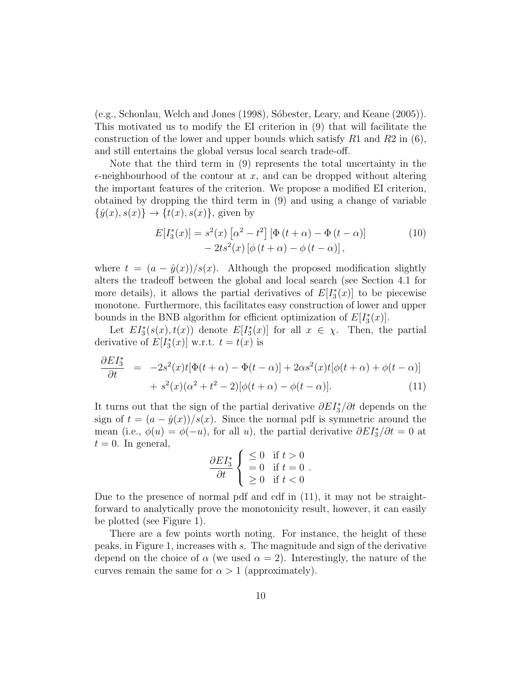(e.g., Schonlau, Welch and Jones (1998), Sóbester, Leary, and Keane (2005)). This motivated us to modify the EI criterion in (9) that will facilitate the construction of the lower and upper bounds which satisfy  $R1$  and  $R2$  in (6), and still entertains the global versus local search trade-off.

Note that the third term in (9) represents the total uncertainty in the  $\epsilon$ -neighbourhood of the contour at x, and can be dropped without altering the important features of the criterion. We propose a modified EI criterion, obtained by dropping the third term in (9) and using a change of variable  $\{\hat{y}(x), s(x)\}\rightarrow \{t(x), s(x)\}\text{, given by}$ 

$$
E[I_3^*(x)] = s^2(x) \left[\alpha^2 - t^2\right] \left[\Phi\left(t + \alpha\right) - \Phi\left(t - \alpha\right)\right] - 2ts^2(x) \left[\phi\left(t + \alpha\right) - \phi\left(t - \alpha\right)\right],\tag{10}
$$

where  $t = (a - \hat{y}(x))/s(x)$ . Although the proposed modification slightly alters the tradeoff between the global and local search (see Section 4.1 for more details), it allows the partial derivatives of  $E[I_3^*]$  $\binom{1}{3}(x)$  to be piecewise monotone. Furthermore, this facilitates easy construction of lower and upper bounds in the BNB algorithm for efficient optimization of  $E[I_3^*]$  $\binom{[*]}{3}(x)].$ 

Let  $EI_3^*(s(x), t(x))$  denote  $E[I_3^*]$  $\binom{1}{3}(x)$  for all  $x \in \chi$ . Then, the partial derivative of  $E[I_3^*]$  $\binom{1}{3}(x)$  w.r.t.  $t = t(x)$  is

$$
\frac{\partial EI_3^*}{\partial t} = -2s^2(x)t[\Phi(t+\alpha) - \Phi(t-\alpha)] + 2\alpha s^2(x)t[\phi(t+\alpha) + \phi(t-\alpha)]
$$
  
+ 
$$
s^2(x)(\alpha^2 + t^2 - 2)[\phi(t+\alpha) - \phi(t-\alpha)].
$$
 (11)

It turns out that the sign of the partial derivative  $\partial EI_3^* / \partial t$  depends on the sign of  $t = (a - \hat{y}(x))/s(x)$ . Since the normal pdf is symmetric around the mean (i.e.,  $\phi(u) = \phi(-u)$ , for all u), the partial derivative  $\partial EI_3^* / \partial t = 0$  at  $t = 0$ . In general,

$$
\frac{\partial EI_3^*}{\partial t} \begin{cases} \leq 0 & \text{if } t > 0 \\ = 0 & \text{if } t = 0 \\ \geq 0 & \text{if } t < 0 \end{cases}.
$$

Due to the presence of normal pdf and cdf in (11), it may not be straightforward to analytically prove the monotonicity result, however, it can easily be plotted (see Figure 1).

There are a few points worth noting. For instance, the height of these peaks, in Figure 1, increases with s. The magnitude and sign of the derivative depend on the choice of  $\alpha$  (we used  $\alpha = 2$ ). Interestingly, the nature of the curves remain the same for  $\alpha > 1$  (approximately).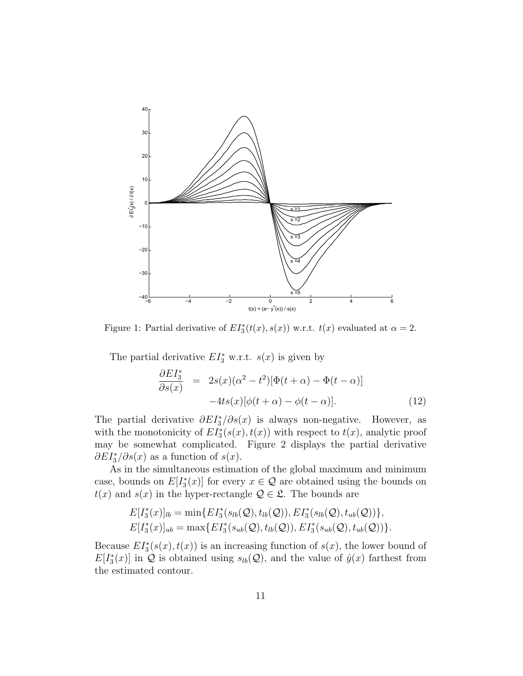

Figure 1: Partial derivative of  $EI_3^*(t(x), s(x))$  w.r.t.  $t(x)$  evaluated at  $\alpha = 2$ .

The partial derivative  $EI_3^*$  w.r.t.  $s(x)$  is given by

$$
\frac{\partial EI_3^*}{\partial s(x)} = 2s(x)(\alpha^2 - t^2)[\Phi(t + \alpha) - \Phi(t - \alpha)]
$$
  
-4ts(x)[\phi(t + \alpha) - \phi(t - \alpha)]. (12)

The partial derivative  $\partial EI_3^*/\partial s(x)$  is always non-negative. However, as with the monotonicity of  $EI_3^*(s(x), t(x))$  with respect to  $t(x)$ , analytic proof may be somewhat complicated. Figure 2 displays the partial derivative  $\partial EI_3^* / \partial s(x)$  as a function of  $s(x)$ .

As in the simultaneous estimation of the global maximum and minimum case, bounds on  $E[I_3^*]$  $\binom{1}{3}(x)$  for every  $x \in \mathcal{Q}$  are obtained using the bounds on  $t(x)$  and  $s(x)$  in the hyper-rectangle  $\mathcal{Q} \in \mathcal{L}$ . The bounds are

$$
E[I_3^*(x)]_{lb} = \min\{EI_3^*(s_{lb}(\mathcal{Q}), t_{lb}(\mathcal{Q})), EI_3^*(s_{lb}(\mathcal{Q}), t_{ub}(\mathcal{Q}))\},\\ E[I_3^*(x)]_{ub} = \max\{EI_3^*(s_{ub}(\mathcal{Q}), t_{lb}(\mathcal{Q})), EI_3^*(s_{ub}(\mathcal{Q}), t_{ub}(\mathcal{Q}))\}.
$$

Because  $EI_3^*(s(x), t(x))$  is an increasing function of  $s(x)$ , the lower bound of  $E[I_3^*]$  $\mathcal{L}_3^*(x)$  in Q is obtained using  $s_{lb}(Q)$ , and the value of  $\hat{y}(x)$  farthest from the estimated contour.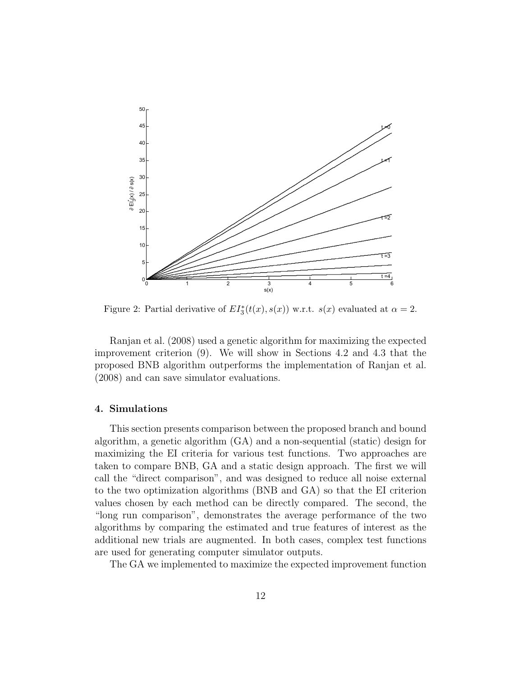

Figure 2: Partial derivative of  $EI_3^*(t(x), s(x))$  w.r.t.  $s(x)$  evaluated at  $\alpha = 2$ .

Ranjan et al. (2008) used a genetic algorithm for maximizing the expected improvement criterion (9). We will show in Sections 4.2 and 4.3 that the proposed BNB algorithm outperforms the implementation of Ranjan et al. (2008) and can save simulator evaluations.

## 4. Simulations

This section presents comparison between the proposed branch and bound algorithm, a genetic algorithm (GA) and a non-sequential (static) design for maximizing the EI criteria for various test functions. Two approaches are taken to compare BNB, GA and a static design approach. The first we will call the "direct comparison", and was designed to reduce all noise external to the two optimization algorithms (BNB and GA) so that the EI criterion values chosen by each method can be directly compared. The second, the "long run comparison", demonstrates the average performance of the two algorithms by comparing the estimated and true features of interest as the additional new trials are augmented. In both cases, complex test functions are used for generating computer simulator outputs.

The GA we implemented to maximize the expected improvement function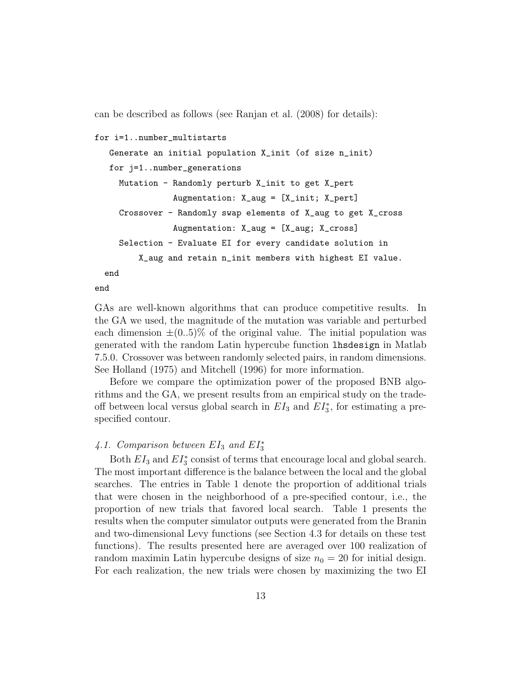can be described as follows (see Ranjan et al. (2008) for details):

```
for i=1..number_multistarts
 Generate an initial population X_init (of size n_init)
 for j=1..number_generations
   Mutation - Randomly perturb X_init to get X_pert
              Augmentation: X_aug = [X_init; X_pert]
   Crossover - Randomly swap elements of X_aug to get X_cross
              Augmentation: X_aug = [X_aug; X_cross]
   Selection - Evaluate EI for every candidate solution in
       X_aug and retain n_init members with highest EI value.
end
```
end

GAs are well-known algorithms that can produce competitive results. In the GA we used, the magnitude of the mutation was variable and perturbed each dimension  $\pm (0.5)$ % of the original value. The initial population was generated with the random Latin hypercube function lhsdesign in Matlab 7.5.0. Crossover was between randomly selected pairs, in random dimensions. See Holland (1975) and Mitchell (1996) for more information.

Before we compare the optimization power of the proposed BNB algorithms and the GA, we present results from an empirical study on the tradeoff between local versus global search in  $EI_3$  and  $EI_3^*$ , for estimating a prespecified contour.

## 4.1. Comparison between  $EI_3$  and  $EI_3^*$

Both  $EI_3$  and  $EI_3^*$  consist of terms that encourage local and global search. The most important difference is the balance between the local and the global searches. The entries in Table 1 denote the proportion of additional trials that were chosen in the neighborhood of a pre-specified contour, i.e., the proportion of new trials that favored local search. Table 1 presents the results when the computer simulator outputs were generated from the Branin and two-dimensional Levy functions (see Section 4.3 for details on these test functions). The results presented here are averaged over 100 realization of random maximin Latin hypercube designs of size  $n_0 = 20$  for initial design. For each realization, the new trials were chosen by maximizing the two EI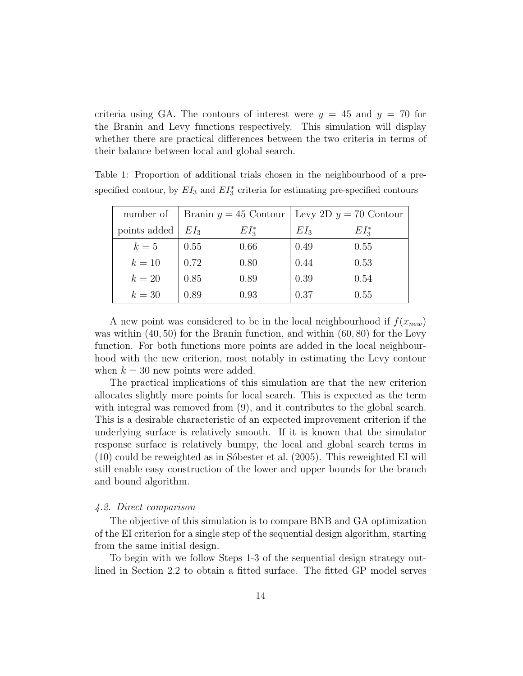criteria using GA. The contours of interest were  $y = 45$  and  $y = 70$  for the Branin and Levy functions respectively. This simulation will display whether there are practical differences between the two criteria in terms of their balance between local and global search.

| number of    |        |            | Branin $y = 45$ Contour   Levy 2D $y = 70$ Contour |            |  |
|--------------|--------|------------|----------------------------------------------------|------------|--|
| points added | $EI_3$ | $EI^*_{3}$ | $EI_3$                                             | $EI^*_{3}$ |  |
| $k=5$        | 0.55   | 0.66       | 0.49                                               | 0.55       |  |
| $k=10$       | 0.72   | 0.80       | 0.44                                               | 0.53       |  |
| $k=20$       | 0.85   | 0.89       | 0.39                                               | 0.54       |  |
| $k=30$       | 0.89   | 0.93       | 0.37                                               | 0.55       |  |

Table 1: Proportion of additional trials chosen in the neighbourhood of a prespecified contour, by  $EI_3$  and  $EI_3^*$  criteria for estimating pre-specified contours

A new point was considered to be in the local neighbourhood if  $f(x_{new})$ was within  $(40, 50)$  for the Branin function, and within  $(60, 80)$  for the Levy function. For both functions more points are added in the local neighbourhood with the new criterion, most notably in estimating the Levy contour when  $k = 30$  new points were added.

The practical implications of this simulation are that the new criterion allocates slightly more points for local search. This is expected as the term with integral was removed from  $(9)$ , and it contributes to the global search. This is a desirable characteristic of an expected improvement criterion if the underlying surface is relatively smooth. If it is known that the simulator response surface is relatively bumpy, the local and global search terms in  $(10)$  could be reweighted as in Sóbester et al.  $(2005)$ . This reweighted EI will still enable easy construction of the lower and upper bounds for the branch and bound algorithm.

## *4.2. Direct comparison*

The objective of this simulation is to compare BNB and GA optimization of the EI criterion for a single step of the sequential design algorithm, starting from the same initial design.

To begin with we follow Steps 1-3 of the sequential design strategy outlined in Section 2.2 to obtain a fitted surface. The fitted GP model serves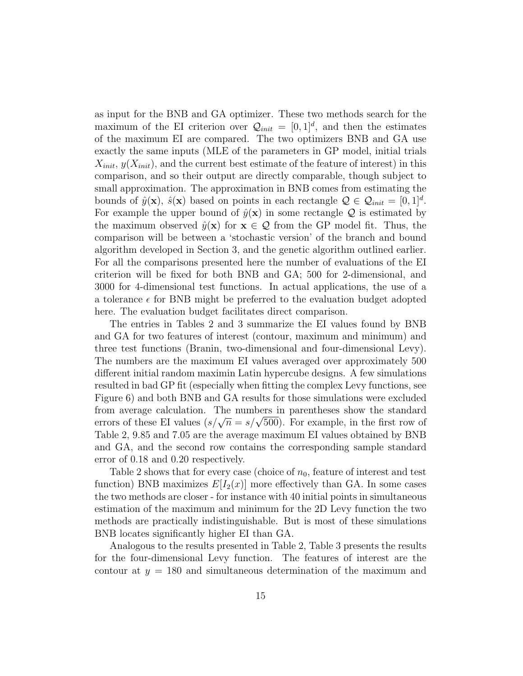as input for the BNB and GA optimizer. These two methods search for the maximum of the EI criterion over  $\mathcal{Q}_{init} = [0, 1]^d$ , and then the estimates of the maximum EI are compared. The two optimizers BNB and GA use exactly the same inputs (MLE of the parameters in GP model, initial trials  $X_{init}$ ,  $y(X_{init})$ , and the current best estimate of the feature of interest) in this comparison, and so their output are directly comparable, though subject to small approximation. The approximation in BNB comes from estimating the bounds of  $\hat{y}(\mathbf{x})$ ,  $\hat{s}(\mathbf{x})$  based on points in each rectangle  $\mathcal{Q} \in \mathcal{Q}_{init} = [0, 1]^d$ . For example the upper bound of  $\hat{y}(\mathbf{x})$  in some rectangle Q is estimated by the maximum observed  $\hat{y}(\mathbf{x})$  for  $\mathbf{x} \in \mathcal{Q}$  from the GP model fit. Thus, the comparison will be between a 'stochastic version' of the branch and bound algorithm developed in Section 3, and the genetic algorithm outlined earlier. For all the comparisons presented here the number of evaluations of the EI criterion will be fixed for both BNB and GA; 500 for 2-dimensional, and 3000 for 4-dimensional test functions. In actual applications, the use of a a tolerance  $\epsilon$  for BNB might be preferred to the evaluation budget adopted here. The evaluation budget facilitates direct comparison.

The entries in Tables 2 and 3 summarize the EI values found by BNB and GA for two features of interest (contour, maximum and minimum) and three test functions (Branin, two-dimensional and four-dimensional Levy). The numbers are the maximum EI values averaged over approximately 500 different initial random maximin Latin hypercube designs. A few simulations resulted in bad GP fit (especially when fitting the complex Levy functions, see Figure 6) and both BNB and GA results for those simulations were excluded from average calculation. The numbers in parentheses show the standard errors of these EI values  $(s/\sqrt{n} = s/\sqrt{500})$ . For example, in the first row of Table 2, 9.85 and 7.05 are the average maximum EI values obtained by BNB and GA, and the second row contains the corresponding sample standard error of 0.18 and 0.20 respectively.

Table 2 shows that for every case (choice of  $n_0$ , feature of interest and test function) BNB maximizes  $E[I_2(x)]$  more effectively than GA. In some cases the two methods are closer - for instance with 40 initial points in simultaneous estimation of the maximum and minimum for the 2D Levy function the two methods are practically indistinguishable. But is most of these simulations BNB locates significantly higher EI than GA.

Analogous to the results presented in Table 2, Table 3 presents the results for the four-dimensional Levy function. The features of interest are the contour at  $y = 180$  and simultaneous determination of the maximum and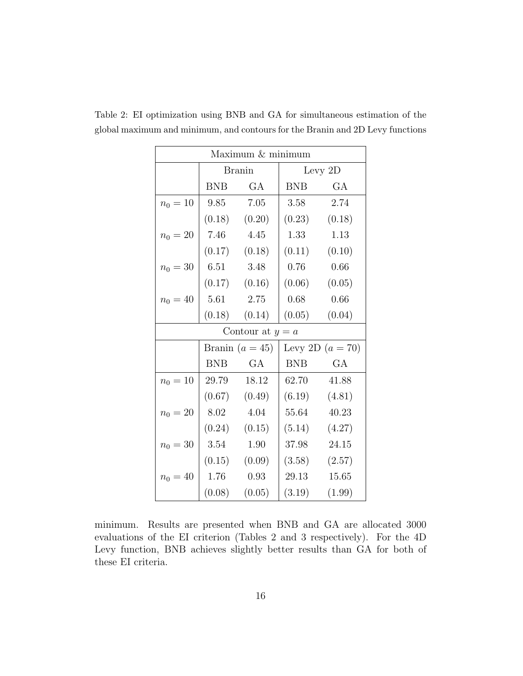| Maximum & minimum  |                   |                   |                    |                   |  |  |
|--------------------|-------------------|-------------------|--------------------|-------------------|--|--|
|                    | <b>Branin</b>     |                   | Levy 2D            |                   |  |  |
|                    | BNB               | GA                | <b>BNB</b>         | GA                |  |  |
| $n_0 = 10$         |                   | 9.85 7.05         | 3.58               | 2.74              |  |  |
|                    |                   | $(0.18)$ $(0.20)$ |                    | $(0.23)$ $(0.18)$ |  |  |
| $n_0 = 20$         |                   | 7.46 4.45         |                    | 1.33 1.13         |  |  |
|                    |                   | $(0.17)$ $(0.18)$ |                    | $(0.11)$ $(0.10)$ |  |  |
| $n_0 = 30$         |                   | 6.51 3.48         | 0.76               | 0.66              |  |  |
|                    |                   | $(0.17)$ $(0.16)$ |                    | $(0.06)$ $(0.05)$ |  |  |
| $n_0 = 40$         | 5.61              | 2.75              | 0.68               | 0.66              |  |  |
|                    |                   | $(0.18)$ $(0.14)$ | (0.05)             | (0.04)            |  |  |
| Contour at $y = a$ |                   |                   |                    |                   |  |  |
|                    | Branin $(a = 45)$ |                   | Levy 2D $(a = 70)$ |                   |  |  |
|                    | <b>BNB</b>        | GA                | <b>BNB</b>         | GA                |  |  |
| $n_0 = 10$         | 29.79             | 18.12             | 62.70              | 41.88             |  |  |
|                    |                   | $(0.67)$ $(0.49)$ |                    | $(6.19)$ $(4.81)$ |  |  |
| $n_0 = 20$         |                   | 8.02 4.04         |                    | 55.64 40.23       |  |  |
|                    |                   | $(0.24)$ $(0.15)$ |                    | $(5.14)$ $(4.27)$ |  |  |
| $n_0 = 30$         |                   | 3.54 1.90         |                    | 37.98 24.15       |  |  |
|                    |                   | $(0.15)$ $(0.09)$ |                    | $(3.58)$ $(2.57)$ |  |  |
| $n_0 = 40$         |                   | $1.76$ 0.93       | 29.13              | 15.65             |  |  |
|                    |                   | $(0.08)$ $(0.05)$ |                    | $(3.19)$ $(1.99)$ |  |  |

Table 2: EI optimization using BNB and GA for simultaneous estimation of the global maximum and minimum, and contours for the Branin and 2D Levy functions

minimum. Results are presented when BNB and GA are allocated 3000 evaluations of the EI criterion (Tables 2 and 3 respectively). For the 4D Levy function, BNB achieves slightly better results than GA for both of these EI criteria.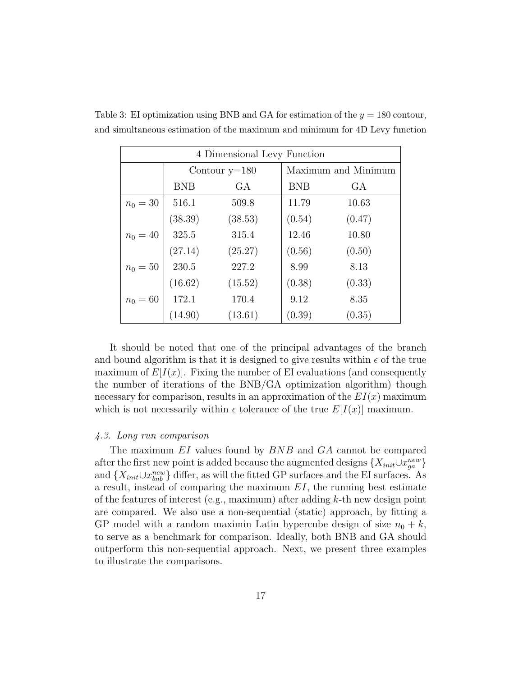| 4 Dimensional Levy Function |                 |         |            |                     |  |  |  |
|-----------------------------|-----------------|---------|------------|---------------------|--|--|--|
|                             | Contour $y=180$ |         |            | Maximum and Minimum |  |  |  |
|                             | <b>BNB</b>      | GА      | <b>BNB</b> | GA                  |  |  |  |
| $n_0 = 30$                  | 516.1           | 509.8   | 11.79      | 10.63               |  |  |  |
|                             | (38.39)         | (38.53) | (0.54)     | (0.47)              |  |  |  |
| $n_0 = 40$                  | 325.5           | 315.4   | 12.46      | 10.80               |  |  |  |
|                             | (27.14)         | (25.27) | (0.56)     | (0.50)              |  |  |  |
| $n_0 = 50$                  | 230.5           | 227.2   | 8.99       | 8.13                |  |  |  |
|                             | (16.62)         | (15.52) | (0.38)     | (0.33)              |  |  |  |
| $n_0 = 60$                  | 172.1           | 170.4   | 9.12       | 8.35                |  |  |  |
|                             | (14.90)         | (13.61) | (0.39)     | (0.35)              |  |  |  |

Table 3: EI optimization using BNB and GA for estimation of the  $y = 180$  contour, and simultaneous estimation of the maximum and minimum for 4D Levy function

It should be noted that one of the principal advantages of the branch and bound algorithm is that it is designed to give results within  $\epsilon$  of the true maximum of  $E[I(x)]$ . Fixing the number of EI evaluations (and consequently the number of iterations of the BNB/GA optimization algorithm) though necessary for comparison, results in an approximation of the  $EI(x)$  maximum which is not necessarily within  $\epsilon$  tolerance of the true  $E[I(x)]$  maximum.

## *4.3. Long run comparison*

The maximum EI values found by BNB and GA cannot be compared after the first new point is added because the augmented designs  $\{X_{init} \cup x_{ga}^{new}\}$ and  $\{X_{init} \cup x_{bnb}^{new}\}$  differ, as will the fitted GP surfaces and the EI surfaces. As a result, instead of comparing the maximum  $EI$ , the running best estimate of the features of interest (e.g., maximum) after adding  $k$ -th new design point are compared. We also use a non-sequential (static) approach, by fitting a GP model with a random maximin Latin hypercube design of size  $n_0 + k$ , to serve as a benchmark for comparison. Ideally, both BNB and GA should outperform this non-sequential approach. Next, we present three examples to illustrate the comparisons.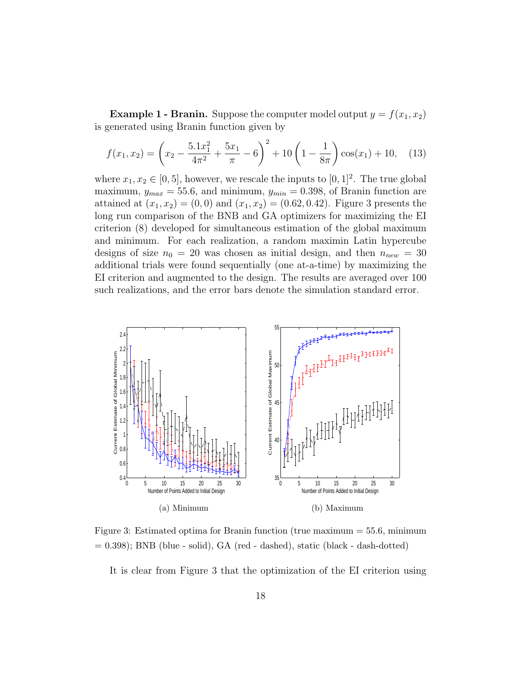**Example 1 - Branin.** Suppose the computer model output  $y = f(x_1, x_2)$ is generated using Branin function given by

$$
f(x_1, x_2) = \left(x_2 - \frac{5.1x_1^2}{4\pi^2} + \frac{5x_1}{\pi} - 6\right)^2 + 10\left(1 - \frac{1}{8\pi}\right)\cos(x_1) + 10,\tag{13}
$$

where  $x_1, x_2 \in [0, 5]$ , however, we rescale the inputs to  $[0, 1]^2$ . The true global maximum,  $y_{max} = 55.6$ , and minimum,  $y_{min} = 0.398$ , of Branin function are attained at  $(x_1, x_2) = (0, 0)$  and  $(x_1, x_2) = (0.62, 0.42)$ . Figure 3 presents the long run comparison of the BNB and GA optimizers for maximizing the EI criterion (8) developed for simultaneous estimation of the global maximum and minimum. For each realization, a random maximin Latin hypercube designs of size  $n_0 = 20$  was chosen as initial design, and then  $n_{new} = 30$ additional trials were found sequentially (one at-a-time) by maximizing the EI criterion and augmented to the design. The results are averaged over 100 such realizations, and the error bars denote the simulation standard error.



Figure 3: Estimated optima for Branin function (true maximum = 55.6, minimum  $= 0.398$ ; BNB (blue - solid), GA (red - dashed), static (black - dash-dotted)

It is clear from Figure 3 that the optimization of the EI criterion using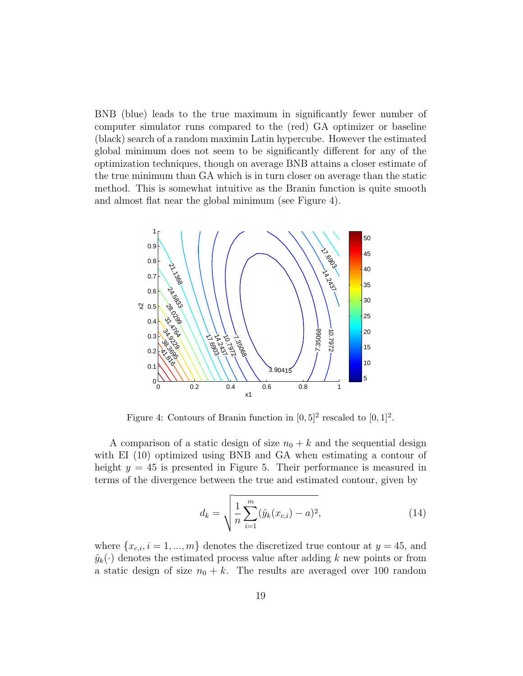BNB (blue) leads to the true maximum in significantly fewer number of computer simulator runs compared to the (red) GA optimizer or baseline (black) search of a random maximin Latin hypercube. However the estimated global minimum does not seem to be significantly different for any of the optimization techniques, though on average BNB attains a closer estimate of the true minimum than GA which is in turn closer on average than the static method. This is somewhat intuitive as the Branin function is quite smooth and almost flat near the global minimum (see Figure 4).



Figure 4: Contours of Branin function in  $[0,5]^2$  rescaled to  $[0,1]^2$ .

A comparison of a static design of size  $n_0 + k$  and the sequential design with EI (10) optimized using BNB and GA when estimating a contour of height  $y = 45$  is presented in Figure 5. Their performance is measured in terms of the divergence between the true and estimated contour, given by

$$
d_k = \sqrt{\frac{1}{n} \sum_{i=1}^{m} (\hat{y}_k(x_{c,i}) - a)^2},
$$
\n(14)

where  $\{x_{c,i}, i = 1, ..., m\}$  denotes the discretized true contour at  $y = 45$ , and  $\hat{y}_k(\cdot)$  denotes the estimated process value after adding k new points or from a static design of size  $n_0 + k$ . The results are averaged over 100 random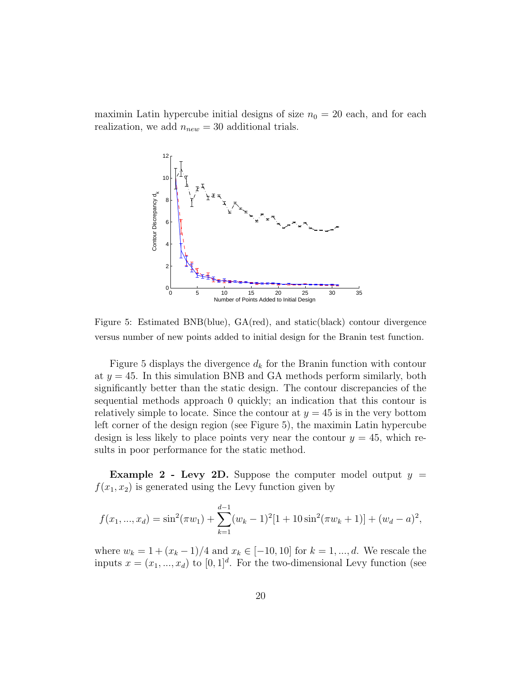maximin Latin hypercube initial designs of size  $n_0 = 20$  each, and for each realization, we add  $n_{new} = 30$  additional trials.



Figure 5: Estimated BNB(blue), GA(red), and static(black) contour divergence versus number of new points added to initial design for the Branin test function.

Figure 5 displays the divergence  $d_k$  for the Branin function with contour at  $y = 45$ . In this simulation BNB and GA methods perform similarly, both significantly better than the static design. The contour discrepancies of the sequential methods approach 0 quickly; an indication that this contour is relatively simple to locate. Since the contour at  $y = 45$  is in the very bottom left corner of the design region (see Figure 5), the maximin Latin hypercube design is less likely to place points very near the contour  $y = 45$ , which results in poor performance for the static method.

**Example 2 - Levy 2D.** Suppose the computer model output  $y =$  $f(x_1, x_2)$  is generated using the Levy function given by

$$
f(x_1, ..., x_d) = \sin^2(\pi w_1) + \sum_{k=1}^{d-1} (w_k - 1)^2 [1 + 10\sin^2(\pi w_k + 1)] + (w_d - a)^2,
$$

where  $w_k = 1 + (x_k - 1)/4$  and  $x_k \in [-10, 10]$  for  $k = 1, ..., d$ . We rescale the inputs  $x = (x_1, ..., x_d)$  to  $[0, 1]^d$ . For the two-dimensional Levy function (see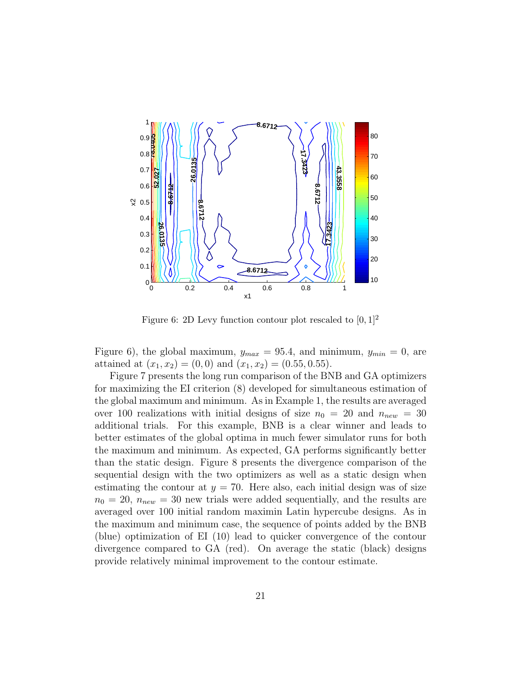

Figure 6: 2D Levy function contour plot rescaled to  $[0, 1]^2$ 

Figure 6), the global maximum,  $y_{max} = 95.4$ , and minimum,  $y_{min} = 0$ , are attained at  $(x_1, x_2) = (0, 0)$  and  $(x_1, x_2) = (0.55, 0.55)$ .

Figure 7 presents the long run comparison of the BNB and GA optimizers for maximizing the EI criterion (8) developed for simultaneous estimation of the global maximum and minimum. As in Example 1, the results are averaged over 100 realizations with initial designs of size  $n_0 = 20$  and  $n_{new} = 30$ additional trials. For this example, BNB is a clear winner and leads to better estimates of the global optima in much fewer simulator runs for both the maximum and minimum. As expected, GA performs significantly better than the static design. Figure 8 presents the divergence comparison of the sequential design with the two optimizers as well as a static design when estimating the contour at  $y = 70$ . Here also, each initial design was of size  $n_0 = 20$ ,  $n_{new} = 30$  new trials were added sequentially, and the results are averaged over 100 initial random maximin Latin hypercube designs. As in the maximum and minimum case, the sequence of points added by the BNB (blue) optimization of EI (10) lead to quicker convergence of the contour divergence compared to GA (red). On average the static (black) designs provide relatively minimal improvement to the contour estimate.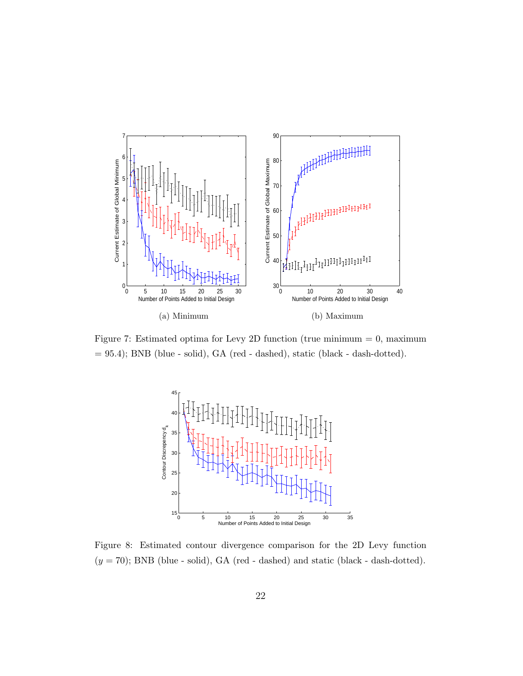

Figure 7: Estimated optima for Levy 2D function (true minimum  $= 0$ , maximum = 95.4); BNB (blue - solid), GA (red - dashed), static (black - dash-dotted).



Figure 8: Estimated contour divergence comparison for the 2D Levy function  $(y = 70)$ ; BNB (blue - solid), GA (red - dashed) and static (black - dash-dotted).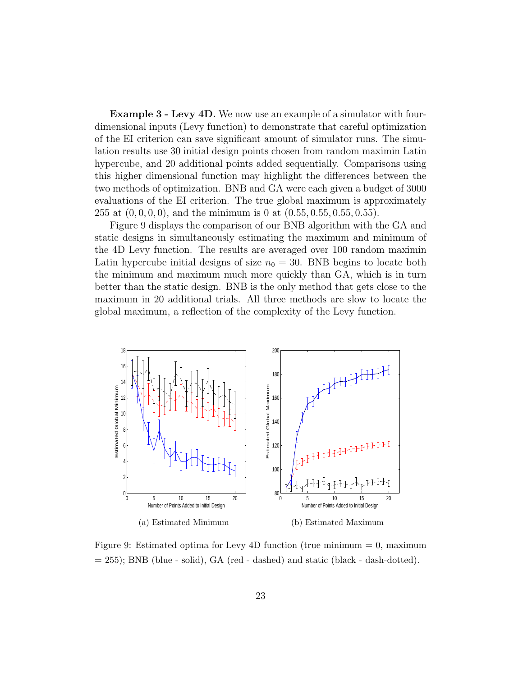Example 3 - Levy 4D. We now use an example of a simulator with fourdimensional inputs (Levy function) to demonstrate that careful optimization of the EI criterion can save significant amount of simulator runs. The simulation results use 30 initial design points chosen from random maximin Latin hypercube, and 20 additional points added sequentially. Comparisons using this higher dimensional function may highlight the differences between the two methods of optimization. BNB and GA were each given a budget of 3000 evaluations of the EI criterion. The true global maximum is approximately 255 at  $(0, 0, 0, 0)$ , and the minimum is 0 at  $(0.55, 0.55, 0.55, 0.55)$ .

Figure 9 displays the comparison of our BNB algorithm with the GA and static designs in simultaneously estimating the maximum and minimum of the 4D Levy function. The results are averaged over 100 random maximin Latin hypercube initial designs of size  $n_0 = 30$ . BNB begins to locate both the minimum and maximum much more quickly than GA, which is in turn better than the static design. BNB is the only method that gets close to the maximum in 20 additional trials. All three methods are slow to locate the global maximum, a reflection of the complexity of the Levy function.



Figure 9: Estimated optima for Levy 4D function (true minimum = 0, maximum  $= 255$ ; BNB (blue - solid), GA (red - dashed) and static (black - dash-dotted).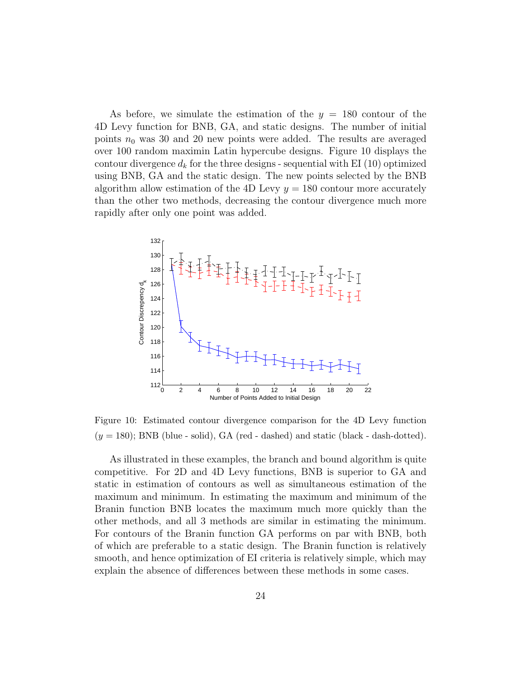As before, we simulate the estimation of the  $y = 180$  contour of the 4D Levy function for BNB, GA, and static designs. The number of initial points  $n_0$  was 30 and 20 new points were added. The results are averaged over 100 random maximin Latin hypercube designs. Figure 10 displays the contour divergence  $d_k$  for the three designs - sequential with EI (10) optimized using BNB, GA and the static design. The new points selected by the BNB algorithm allow estimation of the 4D Levy  $y = 180$  contour more accurately than the other two methods, decreasing the contour divergence much more rapidly after only one point was added.



Figure 10: Estimated contour divergence comparison for the 4D Levy function  $(y = 180)$ ; BNB (blue - solid), GA (red - dashed) and static (black - dash-dotted).

As illustrated in these examples, the branch and bound algorithm is quite competitive. For 2D and 4D Levy functions, BNB is superior to GA and static in estimation of contours as well as simultaneous estimation of the maximum and minimum. In estimating the maximum and minimum of the Branin function BNB locates the maximum much more quickly than the other methods, and all 3 methods are similar in estimating the minimum. For contours of the Branin function GA performs on par with BNB, both of which are preferable to a static design. The Branin function is relatively smooth, and hence optimization of EI criteria is relatively simple, which may explain the absence of differences between these methods in some cases.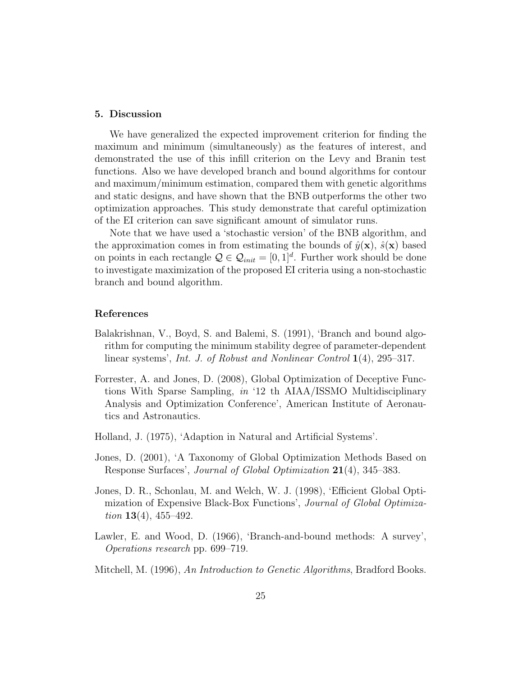#### 5. Discussion

We have generalized the expected improvement criterion for finding the maximum and minimum (simultaneously) as the features of interest, and demonstrated the use of this infill criterion on the Levy and Branin test functions. Also we have developed branch and bound algorithms for contour and maximum/minimum estimation, compared them with genetic algorithms and static designs, and have shown that the BNB outperforms the other two optimization approaches. This study demonstrate that careful optimization of the EI criterion can save significant amount of simulator runs.

Note that we have used a 'stochastic version' of the BNB algorithm, and the approximation comes in from estimating the bounds of  $\hat{y}(\mathbf{x})$ ,  $\hat{s}(\mathbf{x})$  based on points in each rectangle  $Q \in \mathcal{Q}_{init} = [0, 1]^d$ . Further work should be done to investigate maximization of the proposed EI criteria using a non-stochastic branch and bound algorithm.

## References

- Balakrishnan, V., Boyd, S. and Balemi, S. (1991), 'Branch and bound algorithm for computing the minimum stability degree of parameter-dependent linear systems', *Int. J. of Robust and Nonlinear Control* 1(4), 295–317.
- Forrester, A. and Jones, D. (2008), Global Optimization of Deceptive Functions With Sparse Sampling, *in* '12 th AIAA/ISSMO Multidisciplinary Analysis and Optimization Conference', American Institute of Aeronautics and Astronautics.
- Holland, J. (1975), 'Adaption in Natural and Artificial Systems'.
- Jones, D. (2001), 'A Taxonomy of Global Optimization Methods Based on Response Surfaces', *Journal of Global Optimization* 21(4), 345–383.
- Jones, D. R., Schonlau, M. and Welch, W. J. (1998), 'Efficient Global Optimization of Expensive Black-Box Functions', *Journal of Global Optimization* 13(4), 455–492.
- Lawler, E. and Wood, D. (1966), 'Branch-and-bound methods: A survey', *Operations research* pp. 699–719.
- Mitchell, M. (1996), *An Introduction to Genetic Algorithms*, Bradford Books.